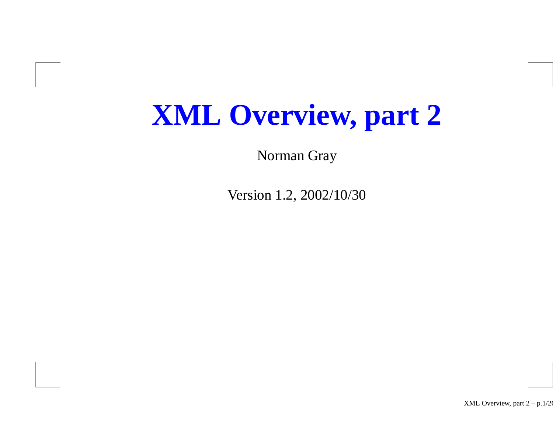# **XML Overview, part 2**

Norman Gray

Version 1.2, 2002/10/30

XML Overview, par<sup>t</sup> 2 – p.1/26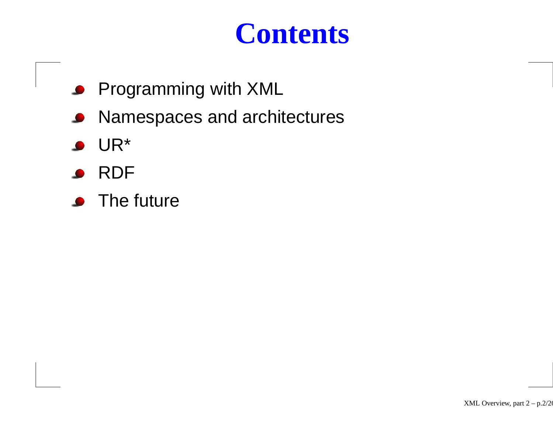## **Contents**

- **Programming with XML**
- Namespaces and architectures  $\bullet$
- UR\*
- RDF
- The future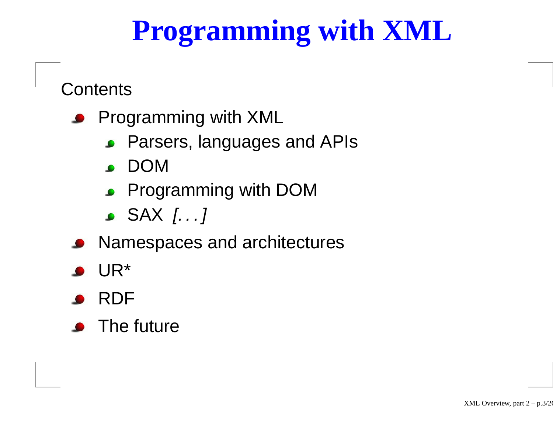# **Programming with XML**

**Contents** 

- Programming with XML
	- Parsers, languages and APIs
	- DOM
	- **Programming with DOM**
	- SAX [. . . ]
- **Namespaces and architectures**
- UR\*
- RDF
- The future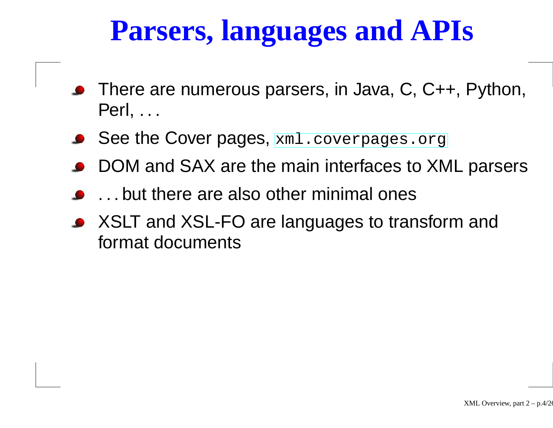# **Parsers, languages and APIs**

- There are numerous parsers, in Java, C, C++, Python, Perl, . . .
- ${\sf See}$  the  ${\sf Cover}$  ${\sf Cover}$  ${\sf Cover}$  pages,  ${\tt xml}$  ${\tt xml}$  ${\tt xml}$  .  ${\tt covers}$  .  ${\tt org}$
- DOM and SAX are the main interfaces to XML parsers
- . . . but there are also other minimal ones
- XSLT and XSL-FO are languages to transform and format documents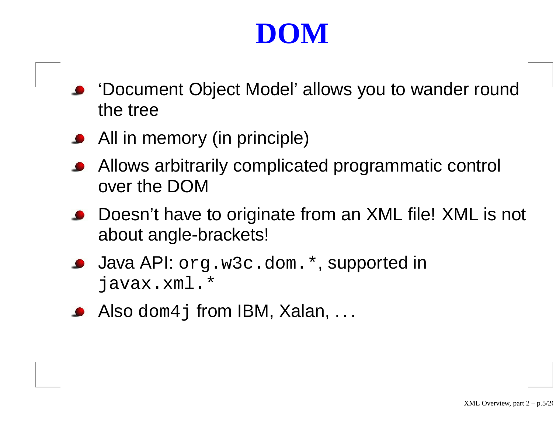# **DOM**

- 'Document Object Model' allows you to wander round the tree
- All in memory (in principle)
- Allows arbitrarily complicated programmatic control over the DOM
- Doesn't have to originate from an XML file! XML is not about angle-brackets!
- Java API: org.w3c.dom.\*, supported in javax.xml.\*
- Also <code>dom4j</code> from IBM, Xalan,  $\ldots$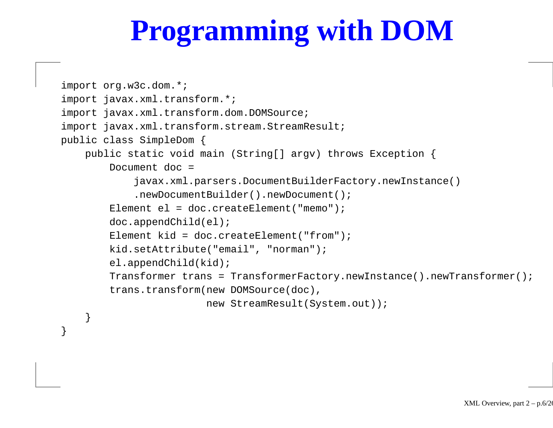# **Programming with DOM**

```
import org.w3c.dom.*;
import javax.xml.transform.*;
import javax.xml.transform.dom.DOMSource;
import javax.xml.transform.stream.StreamResult;
public class SimpleDom {
   public static void main (String[] argv) throws Exception {
        Document doc =
            javax.xml.parsers.DocumentBuilderFactory.newInstance()
            .newDocumentBuilder().newDocument();
        Element el = doc.createElement("memo");
        doc.appendChild(el);
        Element kid = doc.createElement("from");
        kid.setAttribute("email", "norman");
        el.appendChild(kid);
        Transformer trans = TransformerFactory.newInstance().newTransformer();
        trans.transform(new DOMSource(doc),
                        new StreamResult(System.out));
```
}

}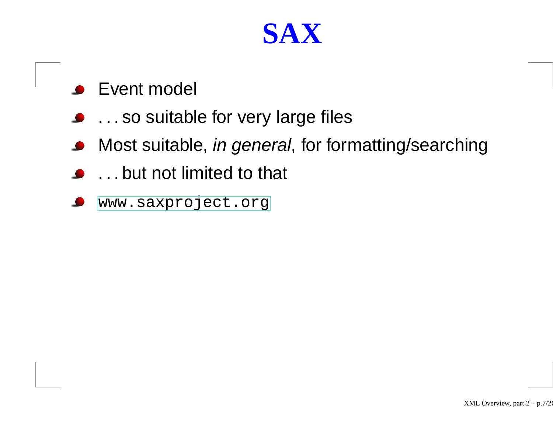#### **SAX**

- Event model  $\bullet$
- . . . so suitable for very large files
- Most suitable, in general, for formatting/searching  $\bullet$
- . . . but not limited to that
- [www](www.saxproject.org).[saxproject](www.saxproject.org).[o](www.saxproject.org)rg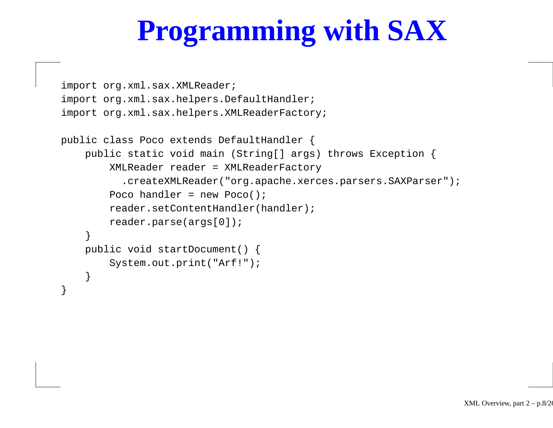# **Programming with SAX**

```
import org.xml.sax.XMLReader;
import org.xml.sax.helpers.DefaultHandler;
import org.xml.sax.helpers.XMLReaderFactory;
public class Poco extends DefaultHandler {
    public static void main (String[] args) throws Exception {
        XMLReader reader = XMLReaderFactory
          .createXMLReader("org.apache.xerces.parsers.SAXParser");
        Poco handler = new Poco();
        reader.setContentHandler(handler);
        reader.parse(args[0]);
    }
    public void startDocument() {
        System.out.print("Arf!");
    }
```
}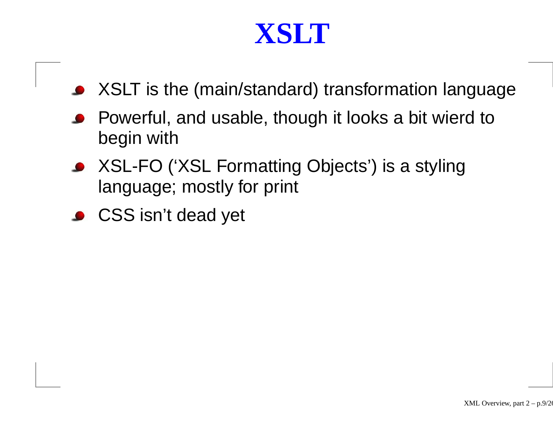#### **XSLT**

- XSLT is the (main/standard) transformation language
- Powerful, and usable, though it looks <sup>a</sup> bit wierd to begin with
- XSL-FO ('XSL Formatting Objects') is <sup>a</sup> styling language; mostly for print
- CSS isn't dead yet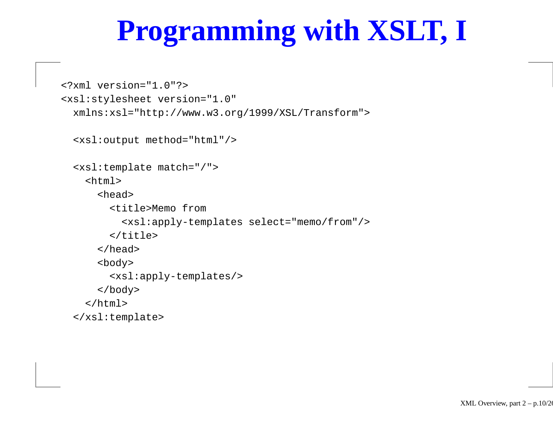# **Programming with XSLT, I**

```
<?xml version="1.0"?>
<xsl:stylesheet version="1.0"
 xmlns:xsl="http://www.w3.org/1999/XSL/Transform">
```

```
<xsl:output method="html"/>
```

```
<xsl:template match="/">
 <html><head><title>Memo from
        <xsl:apply-templates select="memo/from"/>
      </title>
    </head>
    <body>
      <xsl:apply-templates/>
    </body>
 </html>
```

```
</xsl:template>
```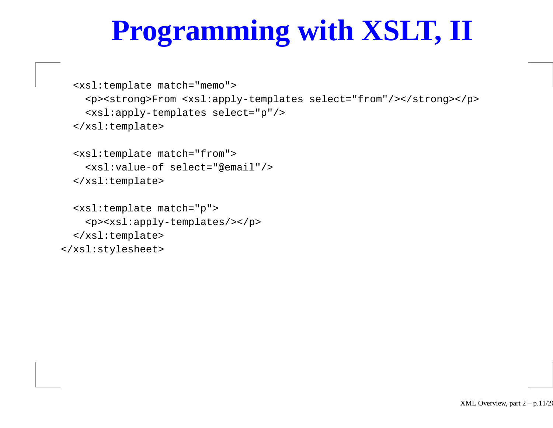# **Programming with XSLT, II**

```
<xsl:template match="memo">
 <p><strong>From <xsl:apply-templates select="from"/></strong></p>
  <xsl:apply-templates select="p"/>
</xsl:template>
```

```
<xsl:template match="from">
  <xsl:value-of select="@email"/>
</xsl:template>
```

```
<xsl:template match="p">
    <p><xsl:apply-templates/></p>
  </xsl:template>
</xsl:stylesheet>
```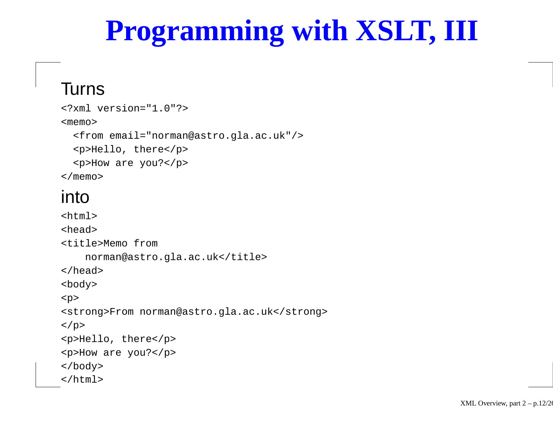# **Programming with XSLT, III**

#### Turns

```
<?xml version="1.0"?>
<memo><from email="norman@astro.gla.ac.uk"/>
  <p>Hello, there</p>
  <p>How are you?</p>
</memo>
```
#### into

```
<h+m\geq<head><title>Memo from
    norman@astro.gla.ac.uk</title>
</head>
<body>
<p>
<strong>From norman@astro.gla.ac.uk</strong>
\langle/p>
<p>Hello, there</p>
<p>How are you?</p>
</body>
</html>
```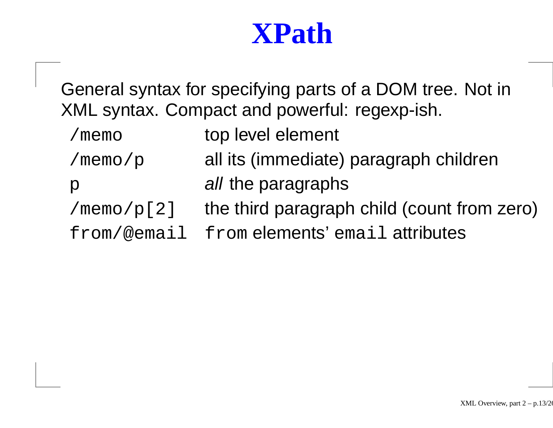## **XPath**

General syntax for specifying parts of <sup>a</sup> DOM tree. Not in XML syntax. Compact and powerful: regexp-ish.

- /memo top level element
- /memo/p all its (immediate) paragraph children
- p all the paragraphs
- $/memo/p[2]$  the third paragraph child (count from zero)
- from/@email from elements' email attributes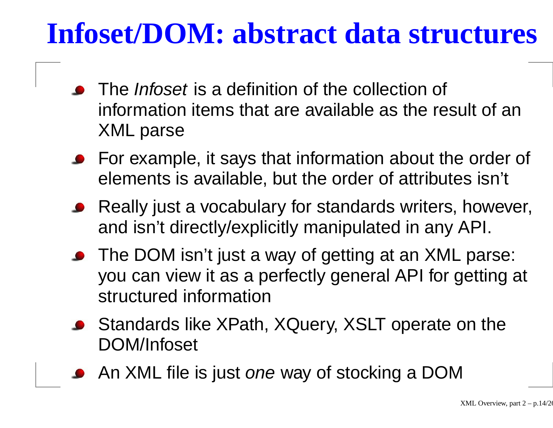# **Infoset/DOM: abstract data structures**

- The *Infoset* is a definition of the collection of information items that are available as the result of an XML parse
- **•** For example, it says that information about the order of elements is available, but the order of attributes isn't
- Really just <sup>a</sup> vocabulary for standards writers, however, and isn't directly/explicitly manipulated in any API.
- The DOM isn't just <sup>a</sup> way of getting at an XML parse: you can view it as <sup>a</sup> perfectly general API for getting at structured information
- Standards like XPath, XQuery, XSLT operate on the DOM/Infoset
- An XML file is just *one* way of stocking a DOM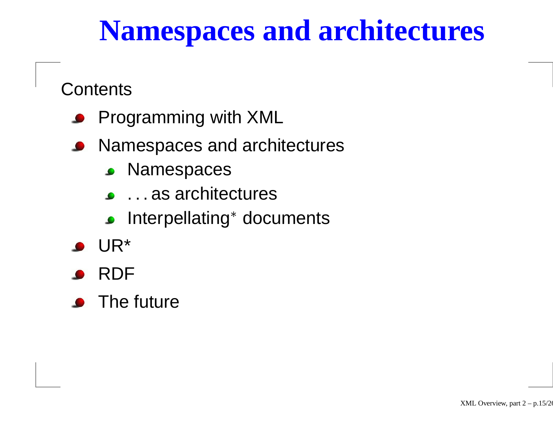# **Namespaces and architectures**

Contents

- Programming with XML
- **Namespaces and architectures** 
	- **S** Namespaces
	- . . . as architectures
	- Interpellating\* documents<br>.<br>-
- UR\*
- RDF
- The future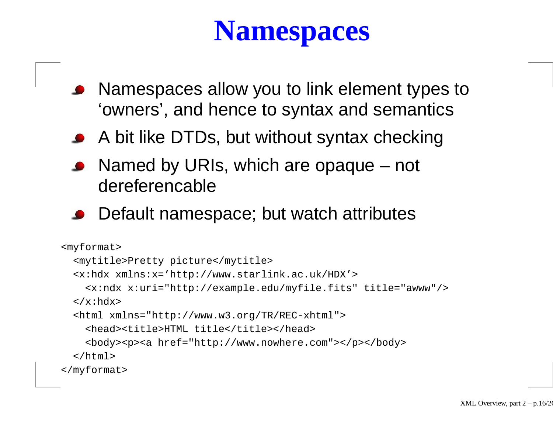# **Namespaces**

- Namespaces allow you to link element types to 'owners', and hence to syntax and semantics
- A bit like DTDs, but without syntax checking
- Named by URIs, which are opaque not dereferencable
- Default namespace; but watch attributes

```
<myformat>
  <mytitle>Pretty picture</mytitle>
  <x:hdx xmlns:x='http://www.starlink.ac.uk/HDX'>
    <x:ndx x:uri="http://example.edu/myfile.fits" title="awww"/>
  \langle x:hdx\rangle<html xmlns="http://www.w3.org/TR/REC-xhtml">
    <head><title>HTML title</title></head>
    <body><p><a href="http://www.nowhere.com"></p></body>
  </html>
</myformat>
```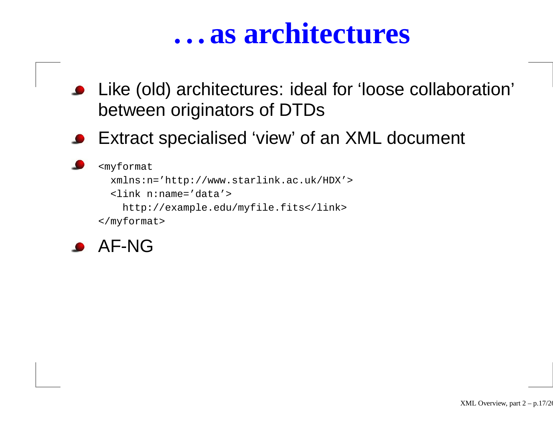#### **. . . as architectures**

- Like (old) architectures: ideal for 'loose collaboration' between originators of DTDs
- Extract specialised 'view' of an XML document

```
<myformat
 xmlns:n='http://www.starlink.ac.uk/HDX'>
  <link n:name='data'>
   http://example.edu/myfile.fits</link>
</myformat>
```
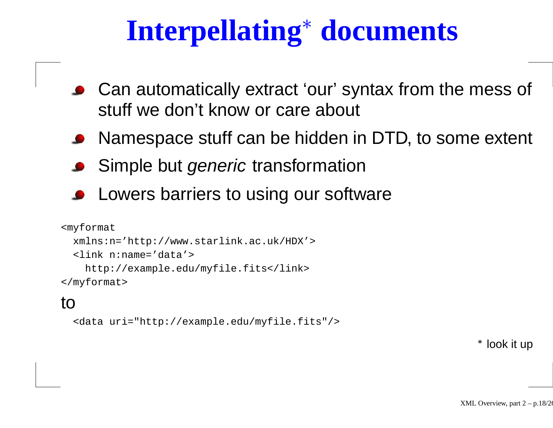- **Interpellating<sup>\*</sup> documents**<br>automatically extract 'our' syntax from the<br>f we den't knew or eare about Can automatically extract 'our' syntax from the mess of stuff we don't know or care about
- Namespace stuff can be hidden in DTD, to some extent
- Simple but generic transformation
- Lowers barriers to using our software

```
<myformat
 xmlns:n='http://www.starlink.ac.uk/HDX'>
  <link n:name='data'>
   http://example.edu/myfile.fits</link>
</myformat>
```
#### to

```
<data uri="http://example.edu/myfile.fits"/>
```
look it up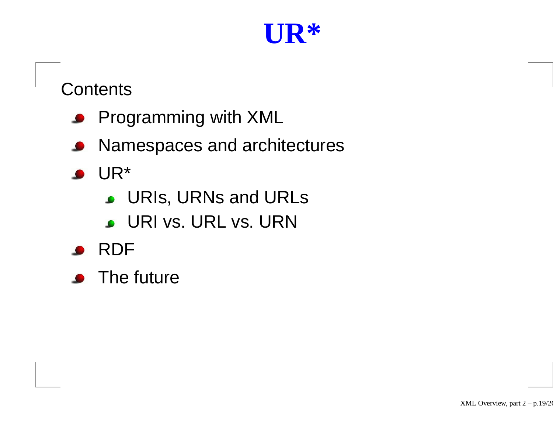## **UR\***

#### Contents

- **Programming with XML**
- **Namespaces and architectures**
- $\bullet$  UR\*
	- **J.** URIs, URNs and URLs
	- URI vs. URL vs. URN
- RDF
- The future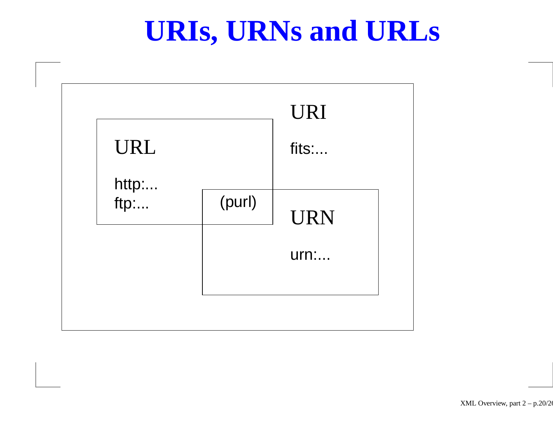## **URIs, URNs and URLs**

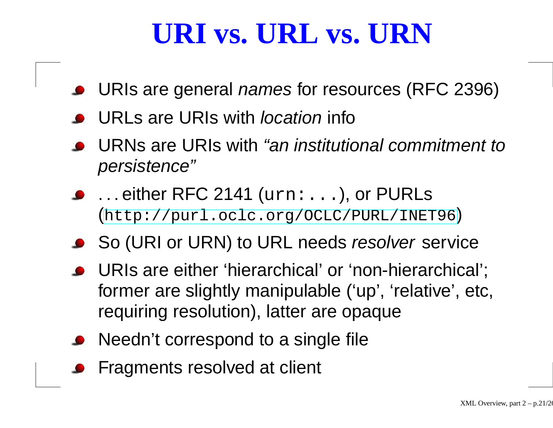# **URI vs. URL vs. URN**

- URIs are general *names* for resources (RFC 2396)
- URLs are URIs with *location* info
- URNs are URIs with "an institutional commitment to persistence"
- . . . either RFC 2141 (urn:...), or PURLs ([http://purl](http://purl.oclc.org/OCLC/PURL/INET96).[oclc](http://purl.oclc.org/OCLC/PURL/INET96).[org/OCLC/PURL/INET](http://purl.oclc.org/OCLC/PURL/INET96)96)
- So (URI or URN) to URL needs *resolver* service
- URIs are either 'hierarchical' or 'non-hierarchical'; former are slightly manipulable ('up', 'relative', etc, requiring resolution), latter are opaque
- Needn't correspond to a single file
- **•** Fragments resolved at client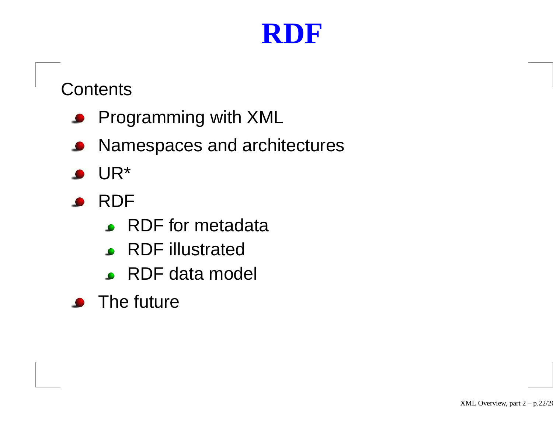# **RDF**

#### Contents

- **Programming with XML**
- **Namespaces and architectures**
- UR\*
- RDF
	- RDF for metadata
	- RDF illustrated
	- RDF data model
- The future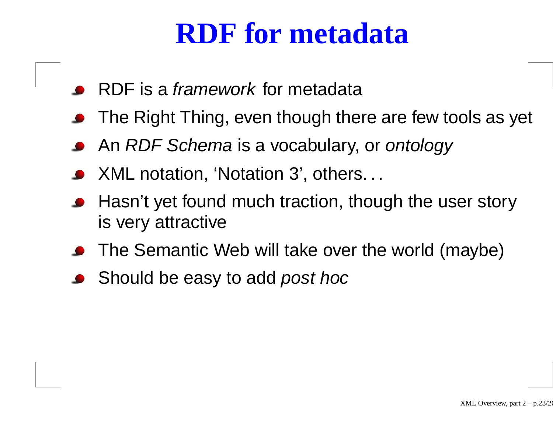## **RDF for metadata**

- RDF is a *framework* for metadata
- The Right Thing, even though there are few tools as yet
- An *RDF Schema* is a vocabulary, or *ontology*
- XML notation, 'Notation 3', others. . .
- Hasn't yet found much traction, though the user story is very attractive
- The Semantic Web will take over the world (maybe)
- Should be easy to add *post hoc*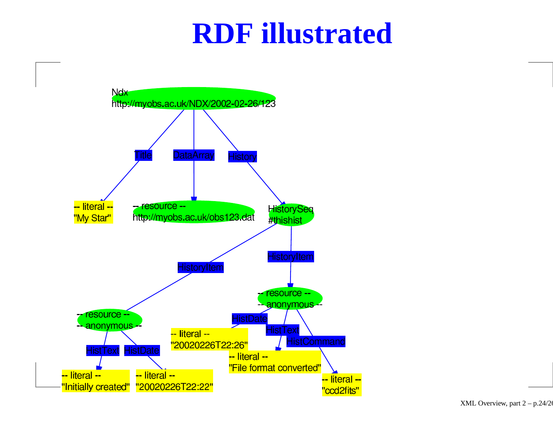#### **RDF illustrated**

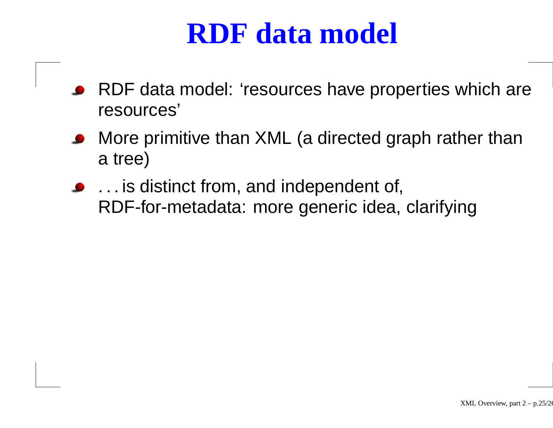## **RDF data model**

- RDF data model: 'resources have properties which are resources'
- More primitive than XML (a directed graph rather than a tree)
- . . . is distinct from, and independent of, RDF-for-metadata: more generic idea, clarifying